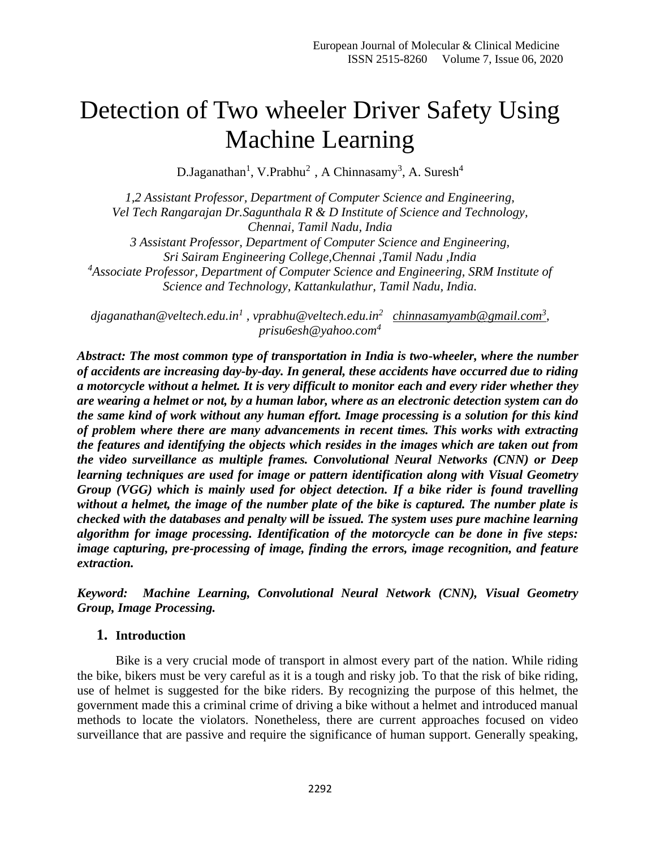# Detection of Two wheeler Driver Safety Using Machine Learning

D.Jaganathan<sup>1</sup>, V.Prabhu<sup>2</sup>, A Chinnasamy<sup>3</sup>, A. Suresh<sup>4</sup>

*1,2 Assistant Professor, Department of Computer Science and Engineering, Vel Tech Rangarajan Dr.Sagunthala R & D Institute of Science and Technology, Chennai, Tamil Nadu, India 3 Assistant Professor, Department of Computer Science and Engineering, Sri Sairam Engineering College,Chennai ,Tamil Nadu ,India <sup>4</sup>Associate Professor, Department of Computer Science and Engineering, SRM Institute of Science and Technology, Kattankulathur, Tamil Nadu, India.*

*djaganathan@veltech.edu.in<sup>1</sup> , vprabhu@veltech.edu.in<sup>2</sup> [chinnasamyamb@gmail.com](mailto:chinnasamyamb@gmail.com3)<sup>3</sup> , prisu6esh@yahoo.com<sup>4</sup>*

*Abstract: The most common type of transportation in India is two-wheeler, where the number of accidents are increasing day-by-day. In general, these accidents have occurred due to riding a motorcycle without a helmet. It is very difficult to monitor each and every rider whether they are wearing a helmet or not, by a human labor, where as an electronic detection system can do the same kind of work without any human effort. Image processing is a solution for this kind of problem where there are many advancements in recent times. This works with extracting the features and identifying the objects which resides in the images which are taken out from the video surveillance as multiple frames. Convolutional Neural Networks (CNN) or Deep learning techniques are used for image or pattern identification along with Visual Geometry Group (VGG) which is mainly used for object detection. If a bike rider is found travelling without a helmet, the image of the number plate of the bike is captured. The number plate is checked with the databases and penalty will be issued. The system uses pure machine learning algorithm for image processing. Identification of the motorcycle can be done in five steps: image capturing, pre-processing of image, finding the errors, image recognition, and feature extraction.*

*Keyword: Machine Learning, Convolutional Neural Network (CNN), Visual Geometry Group, Image Processing.* 

### **1. Introduction**

Bike is a very crucial mode of transport in almost every part of the nation. While riding the bike, bikers must be very careful as it is a tough and risky job. To that the risk of bike riding, use of helmet is suggested for the bike riders. By recognizing the purpose of this helmet, the government made this a criminal crime of driving a bike without a helmet and introduced manual methods to locate the violators. Nonetheless, there are current approaches focused on video surveillance that are passive and require the significance of human support. Generally speaking,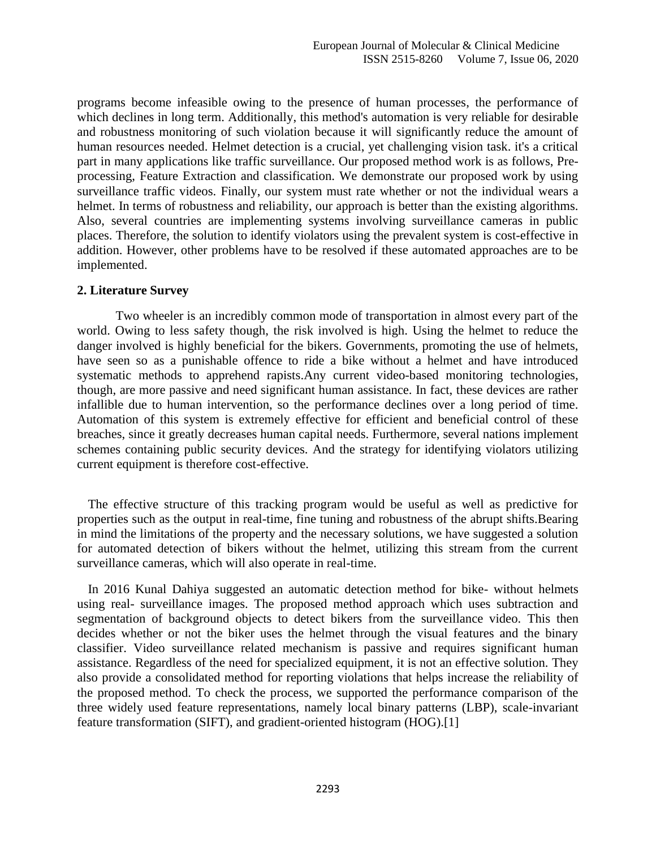programs become infeasible owing to the presence of human processes, the performance of which declines in long term. Additionally, this method's automation is very reliable for desirable and robustness monitoring of such violation because it will significantly reduce the amount of human resources needed. Helmet detection is a crucial, yet challenging vision task. it's a critical part in many applications like traffic surveillance. Our proposed method work is as follows, Preprocessing, Feature Extraction and classification. We demonstrate our proposed work by using surveillance traffic videos. Finally, our system must rate whether or not the individual wears a helmet. In terms of robustness and reliability, our approach is better than the existing algorithms. Also, several countries are implementing systems involving surveillance cameras in public places. Therefore, the solution to identify violators using the prevalent system is cost-effective in addition. However, other problems have to be resolved if these automated approaches are to be implemented.

#### **2. Literature Survey**

Two wheeler is an incredibly common mode of transportation in almost every part of the world. Owing to less safety though, the risk involved is high. Using the helmet to reduce the danger involved is highly beneficial for the bikers. Governments, promoting the use of helmets, have seen so as a punishable offence to ride a bike without a helmet and have introduced systematic methods to apprehend rapists.Any current video-based monitoring technologies, though, are more passive and need significant human assistance. In fact, these devices are rather infallible due to human intervention, so the performance declines over a long period of time. Automation of this system is extremely effective for efficient and beneficial control of these breaches, since it greatly decreases human capital needs. Furthermore, several nations implement schemes containing public security devices. And the strategy for identifying violators utilizing current equipment is therefore cost-effective.

The effective structure of this tracking program would be useful as well as predictive for properties such as the output in real-time, fine tuning and robustness of the abrupt shifts.Bearing in mind the limitations of the property and the necessary solutions, we have suggested a solution for automated detection of bikers without the helmet, utilizing this stream from the current surveillance cameras, which will also operate in real-time.

In 2016 Kunal Dahiya suggested an automatic detection method for bike- without helmets using real- surveillance images. The proposed method approach which uses subtraction and segmentation of background objects to detect bikers from the surveillance video. This then decides whether or not the biker uses the helmet through the visual features and the binary classifier. Video surveillance related mechanism is passive and requires significant human assistance. Regardless of the need for specialized equipment, it is not an effective solution. They also provide a consolidated method for reporting violations that helps increase the reliability of the proposed method. To check the process, we supported the performance comparison of the three widely used feature representations, namely local binary patterns (LBP), scale-invariant feature transformation (SIFT), and gradient-oriented histogram (HOG).[1]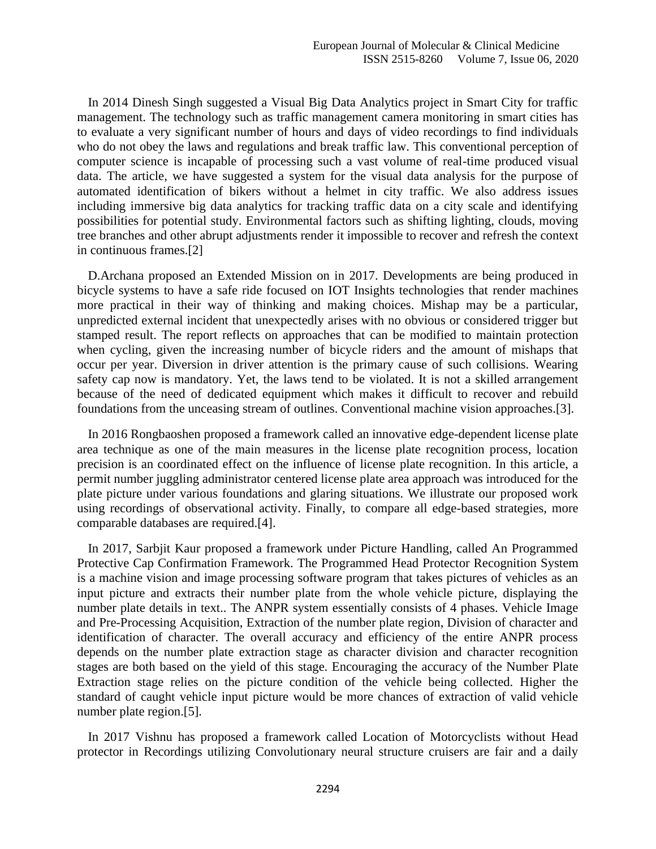In 2014 Dinesh Singh suggested a Visual Big Data Analytics project in Smart City for traffic management. The technology such as traffic management camera monitoring in smart cities has to evaluate a very significant number of hours and days of video recordings to find individuals who do not obey the laws and regulations and break traffic law. This conventional perception of computer science is incapable of processing such a vast volume of real-time produced visual data. The article, we have suggested a system for the visual data analysis for the purpose of automated identification of bikers without a helmet in city traffic. We also address issues including immersive big data analytics for tracking traffic data on a city scale and identifying possibilities for potential study. Environmental factors such as shifting lighting, clouds, moving tree branches and other abrupt adjustments render it impossible to recover and refresh the context in continuous frames.[2]

D.Archana proposed an Extended Mission on in 2017. Developments are being produced in bicycle systems to have a safe ride focused on IOT Insights technologies that render machines more practical in their way of thinking and making choices. Mishap may be a particular, unpredicted external incident that unexpectedly arises with no obvious or considered trigger but stamped result. The report reflects on approaches that can be modified to maintain protection when cycling, given the increasing number of bicycle riders and the amount of mishaps that occur per year. Diversion in driver attention is the primary cause of such collisions. Wearing safety cap now is mandatory. Yet, the laws tend to be violated. It is not a skilled arrangement because of the need of dedicated equipment which makes it difficult to recover and rebuild foundations from the unceasing stream of outlines. Conventional machine vision approaches.[3].

In 2016 Rongbaoshen proposed a framework called an innovative edge-dependent license plate area technique as one of the main measures in the license plate recognition process, location precision is an coordinated effect on the influence of license plate recognition. In this article, a permit number juggling administrator centered license plate area approach was introduced for the plate picture under various foundations and glaring situations. We illustrate our proposed work using recordings of observational activity. Finally, to compare all edge-based strategies, more comparable databases are required.[4].

In 2017, Sarbjit Kaur proposed a framework under Picture Handling, called An Programmed Protective Cap Confirmation Framework. The Programmed Head Protector Recognition System is a machine vision and image processing software program that takes pictures of vehicles as an input picture and extracts their number plate from the whole vehicle picture, displaying the number plate details in text.. The ANPR system essentially consists of 4 phases. Vehicle Image and Pre-Processing Acquisition, Extraction of the number plate region, Division of character and identification of character. The overall accuracy and efficiency of the entire ANPR process depends on the number plate extraction stage as character division and character recognition stages are both based on the yield of this stage. Encouraging the accuracy of the Number Plate Extraction stage relies on the picture condition of the vehicle being collected. Higher the standard of caught vehicle input picture would be more chances of extraction of valid vehicle number plate region.[5].

In 2017 Vishnu has proposed a framework called Location of Motorcyclists without Head protector in Recordings utilizing Convolutionary neural structure cruisers are fair and a daily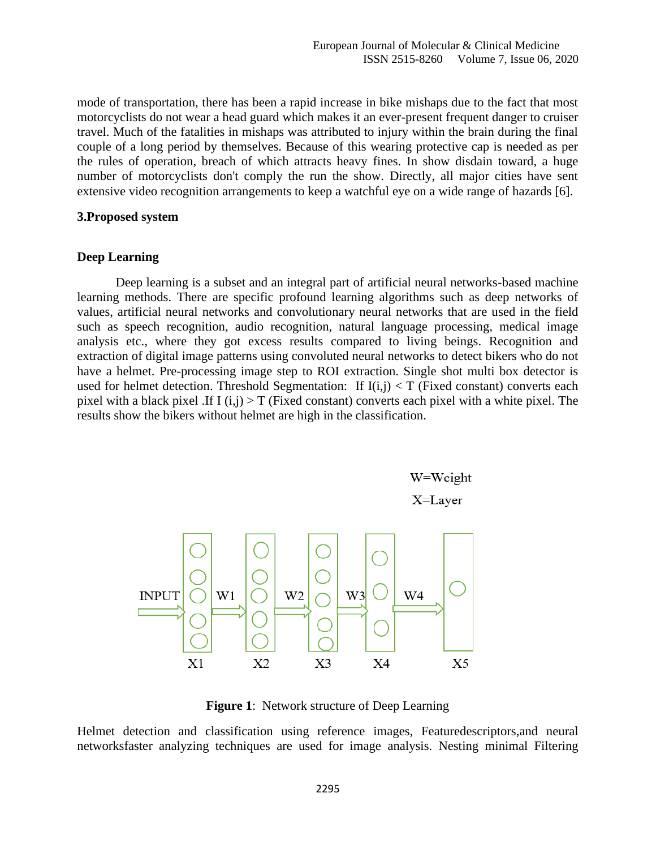mode of transportation, there has been a rapid increase in bike mishaps due to the fact that most motorcyclists do not wear a head guard which makes it an ever-present frequent danger to cruiser travel. Much of the fatalities in mishaps was attributed to injury within the brain during the final couple of a long period by themselves. Because of this wearing protective cap is needed as per the rules of operation, breach of which attracts heavy fines. In show disdain toward, a huge number of motorcyclists don't comply the run the show. Directly, all major cities have sent extensive video recognition arrangements to keep a watchful eye on a wide range of hazards [6].

#### **3.Proposed system**

#### **Deep Learning**

Deep learning is a subset and an integral part of artificial neural networks-based machine learning methods. There are specific profound learning algorithms such as deep networks of values, artificial neural networks and convolutionary neural networks that are used in the field such as speech recognition, audio recognition, natural language processing, medical image analysis etc., where they got excess results compared to living beings. Recognition and extraction of digital image patterns using convoluted neural networks to detect bikers who do not have a helmet. Pre-processing image step to ROI extraction. Single shot multi box detector is used for helmet detection. Threshold Segmentation: If  $I(i,j) < T$  (Fixed constant) converts each pixel with a black pixel .If I  $(i,j) > T$  (Fixed constant) converts each pixel with a white pixel. The results show the bikers without helmet are high in the classification.



**Figure 1**: Network structure of Deep Learning

Helmet detection and classification using reference images, Featuredescriptors,and neural networksfaster analyzing techniques are used for image analysis. Nesting minimal Filtering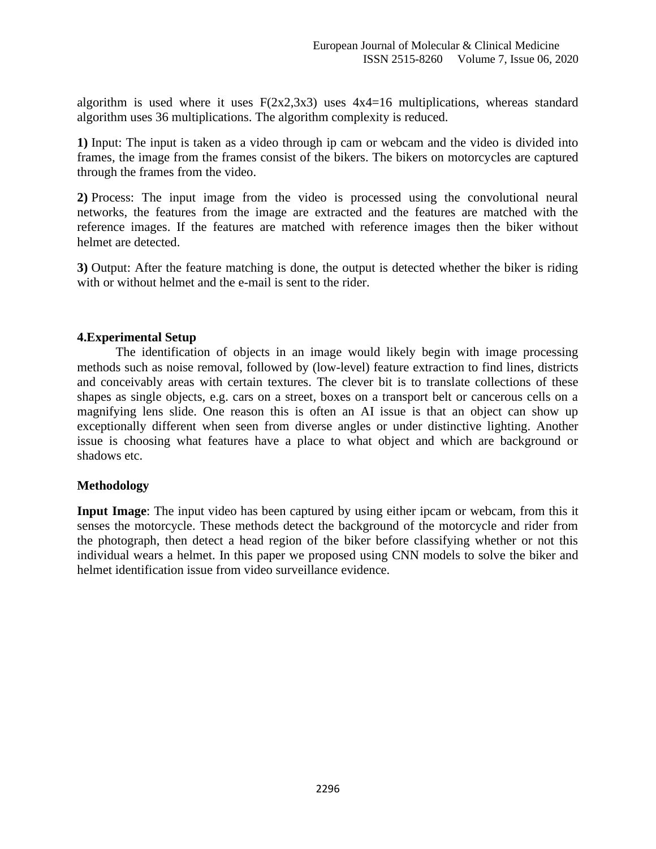algorithm is used where it uses  $F(2x2,3x3)$  uses  $4x4=16$  multiplications, whereas standard algorithm uses 36 multiplications. The algorithm complexity is reduced.

**1)** Input: The input is taken as a video through ip cam or webcam and the video is divided into frames, the image from the frames consist of the bikers. The bikers on motorcycles are captured through the frames from the video.

**2)** Process: The input image from the video is processed using the convolutional neural networks, the features from the image are extracted and the features are matched with the reference images. If the features are matched with reference images then the biker without helmet are detected.

**3)** Output: After the feature matching is done, the output is detected whether the biker is riding with or without helmet and the e-mail is sent to the rider.

# **4.Experimental Setup**

The identification of objects in an image would likely begin with image processing methods such as noise removal, followed by (low-level) feature extraction to find lines, districts and conceivably areas with certain textures. The clever bit is to translate collections of these shapes as single objects, e.g. cars on a street, boxes on a transport belt or cancerous cells on a magnifying lens slide. One reason this is often an AI issue is that an object can show up exceptionally different when seen from diverse angles or under distinctive lighting. Another issue is choosing what features have a place to what object and which are background or shadows etc.

### **Methodology**

**Input Image**: The input video has been captured by using either ipcam or webcam, from this it senses the motorcycle. These methods detect the background of the motorcycle and rider from the photograph, then detect a head region of the biker before classifying whether or not this individual wears a helmet. In this paper we proposed using CNN models to solve the biker and helmet identification issue from video surveillance evidence.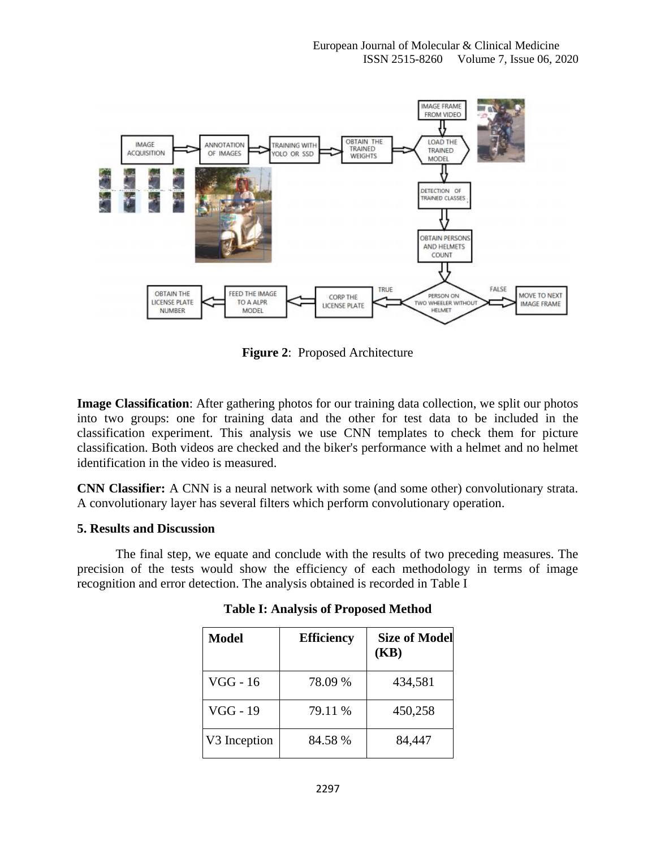

**Figure 2**: Proposed Architecture

**Image Classification**: After gathering photos for our training data collection, we split our photos into two groups: one for training data and the other for test data to be included in the classification experiment. This analysis we use CNN templates to check them for picture classification. Both videos are checked and the biker's performance with a helmet and no helmet identification in the video is measured.

**CNN Classifier:** A CNN is a neural network with some (and some other) convolutionary strata. A convolutionary layer has several filters which perform convolutionary operation.

# **5. Results and Discussion**

The final step, we equate and conclude with the results of two preceding measures. The precision of the tests would show the efficiency of each methodology in terms of image recognition and error detection. The analysis obtained is recorded in Table I

| <b>Model</b> | <b>Efficiency</b> | <b>Size of Model</b><br>(KB) |
|--------------|-------------------|------------------------------|
| VGG - 16     | 78.09 %           | 434,581                      |
| VGG - 19     | 79.11 %           | 450,258                      |
| V3 Inception | 84.58 %           | 84,447                       |

| <b>Table I: Analysis of Proposed Method</b> |  |  |
|---------------------------------------------|--|--|
|                                             |  |  |